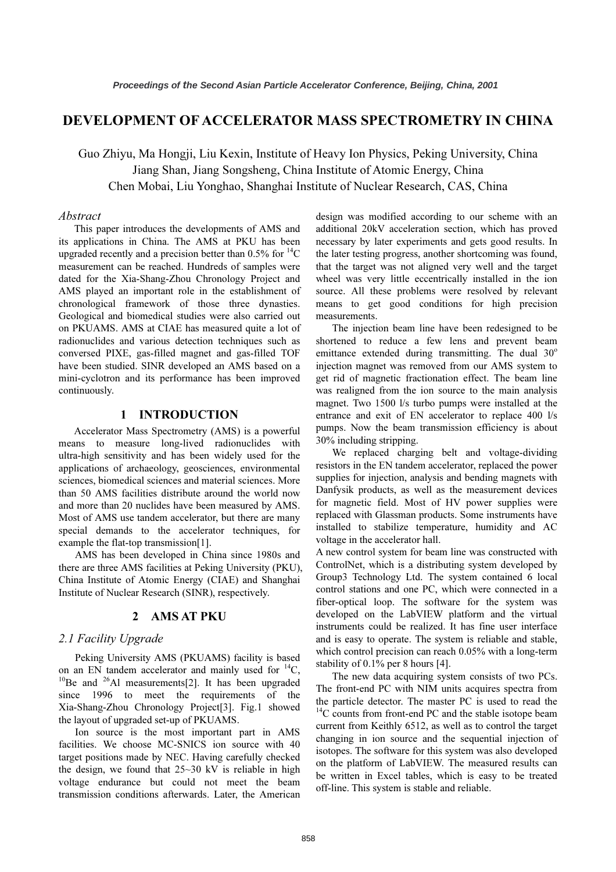# DEVELOPMENT OF ACCELERATOR MASS SPECTROMETRY IN CHINA

Guo Zhiyu, Ma Hongji, Liu Kexin, Institute of Heavy Ion Physics, Peking University, China Chen Mobai, Liu Yonghao, Shanghai Institute of Nuclear Research, CAS, China Chen Mobai, Liu Yonghao, Shanghai Institute of Nuclear Research, CAS, China

# Abstract

 This paper introduces the developments of AMS and its applications in China. The AMS at PKU has been upgraded recently and a precision better than  $0.5\%$  for  $^{14}C$ measurement can be reached. Hundreds of samples were dated for the Xia-Shang-Zhou Chronology Project and AMS played an important role in the establishment of chronological framework of those three dynasties. Geological and biomedical studies were also carried out on PKUAMS. AMS at CIAE has measured quite a lot of radionuclides and various detection techniques such as conversed PIXE, gas-filled magnet and gas-filled TOF have been studied. SINR developed an AMS based on a mini-cyclotron and its performance has been improved continuously.

# 1 INTRODUCTION

 Accelerator Mass Spectrometry (AMS) is a powerful means to measure long-lived radionuclides with ultra-high sensitivity and has been widely used for the applications of archaeology, geosciences, environmental sciences, biomedical sciences and material sciences. More than 50 AMS facilities distribute around the world now and more than 20 nuclides have been measured by AMS. Most of AMS use tandem accelerator, but there are many special demands to the accelerator techniques, for example the flat-top transmission[1].

AMS has been developed in China since 1980s and there are three AMS facilities at Peking University (PKU), China Institute of Atomic Energy (CIAE) and Shanghai Institute of Nuclear Research (SINR), respectively.

# 2 AMS AT PKU

# 2.1 Facility Upgrade

Peking University AMS (PKUAMS) facility is based on an EN tandem accelerator and mainly used for  ${}^{14}C$ ,  ${}^{10}Be$  and  ${}^{26}Al$  measurements[2]. It has been upgraded since 1996 to meet the requirements of the Xia-Shang-Zhou Chronology Project[3]. Fig.1 showed the layout of upgraded set-up of PKUAMS.

Ion source is the most important part in AMS facilities. We choose MC-SNICS ion source with 40 target positions made by NEC. Having carefully checked the design, we found that 25~30 kV is reliable in high voltage endurance but could not meet the beam transmission conditions afterwards. Later, the American design was modified according to our scheme with an additional 20kV acceleration section, which has proved necessary by later experiments and gets good results. In the later testing progress, another shortcoming was found, that the target was not aligned very well and the target wheel was very little eccentrically installed in the ion source. All these problems were resolved by relevant means to get good conditions for high precision measurements.

The injection beam line have been redesigned to be shortened to reduce a few lens and prevent beam emittance extended during transmitting. The dual 30° injection magnet was removed from our AMS system to get rid of magnetic fractionation effect. The beam line was realigned from the ion source to the main analysis magnet. Two 1500 l/s turbo pumps were installed at the entrance and exit of EN accelerator to replace 400 l/s pumps. Now the beam transmission efficiency is about 30% including stripping.

We replaced charging belt and voltage-dividing resistors in the EN tandem accelerator, replaced the power supplies for injection, analysis and bending magnets with Danfysik products, as well as the measurement devices for magnetic field. Most of HV power supplies were replaced with Glassman products. Some instruments have installed to stabilize temperature, humidity and AC voltage in the accelerator hall.

A new control system for beam line was constructed with ControlNet, which is a distributing system developed by Group3 Technology Ltd. The system contained 6 local control stations and one PC, which were connected in a fiber-optical loop. The software for the system was developed on the LabVIEW platform and the virtual instruments could be realized. It has fine user interface and is easy to operate. The system is reliable and stable, which control precision can reach  $0.05\%$  with a long-term stability of 0.1% per 8 hours [4].

The new data acquiring system consists of two PCs. The front-end PC with NIM units acquires spectra from the particle detector. The master PC is used to read the  $14$ C counts from front-end PC and the stable isotope beam current from Keithly 6512, as well as to control the target changing in ion source and the sequential injection of isotopes. The software for this system was also developed on the platform of LabVIEW. The measured results can be written in Excel tables, which is easy to be treated off-line. This system is stable and reliable.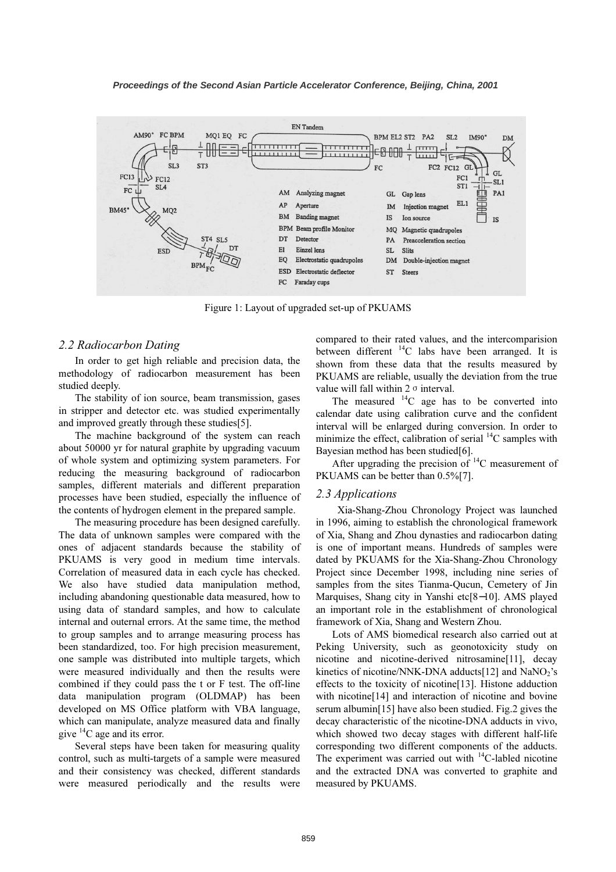

Figure 1: Layout of upgraded set-up of PKUAMS

#### 2.2 Radiocarbon Dating

In order to get high reliable and precision data, the methodology of radiocarbon measurement has been studied deeply.

The stability of ion source, beam transmission, gases in stripper and detector etc. was studied experimentally and improved greatly through these studies[5].

The machine background of the system can reach about 50000 yr for natural graphite by upgrading vacuum of whole system and optimizing system parameters. For reducing the measuring background of radiocarbon samples, different materials and different preparation processes have been studied, especially the influence of the contents of hydrogen element in the prepared sample.

The measuring procedure has been designed carefully. The data of unknown samples were compared with the ones of adjacent standards because the stability of PKUAMS is very good in medium time intervals. Correlation of measured data in each cycle has checked. We also have studied data manipulation method, including abandoning questionable data measured, how to using data of standard samples, and how to calculate internal and outernal errors. At the same time, the method to group samples and to arrange measuring process has been standardized, too. For high precision measurement, one sample was distributed into multiple targets, which were measured individually and then the results were combined if they could pass the t or F test. The off-line data manipulation program (OLDMAP) has been developed on MS Office platform with VBA language, which can manipulate, analyze measured data and finally give  ${}^{14}C$  age and its error.

Several steps have been taken for measuring quality control, such as multi-targets of a sample were measured and their consistency was checked, different standards were measured periodically and the results were

compared to their rated values, and the intercomparision between different  ${}^{14}C$  labs have been arranged. It is shown from these data that the results measured by PKUAMS are reliable, usually the deviation from the true value will fall within  $2 \sigma$  interval.

The measured  $^{14}$ C age has to be converted into calendar date using calibration curve and the confident interval will be enlarged during conversion. In order to minimize the effect, calibration of serial  $^{14}$ C samples with Bayesian method has been studied[6].

After upgrading the precision of  $14$ C measurement of PKUAMS can be better than 0.5%[7].

#### 2.3 Applications

 Xia-Shang-Zhou Chronology Project was launched in 1996, aiming to establish the chronological framework of Xia, Shang and Zhou dynasties and radiocarbon dating is one of important means. Hundreds of samples were dated by PKUAMS for the Xia-Shang-Zhou Chronology Project since December 1998, including nine series of samples from the sites Tianma-Qucun, Cemetery of Jin Marquises, Shang city in Yanshi etc[8−10]. AMS played an important role in the establishment of chronological framework of Xia, Shang and Western Zhou.

Lots of AMS biomedical research also carried out at Peking University, such as geonotoxicity study on nicotine and nicotine-derived nitrosamine[11], decay kinetics of nicotine/NNK-DNA adducts[12] and  $NaNO<sub>2</sub>'s$ effects to the toxicity of nicotine[13]. Histone adduction with nicotine<sup>[14]</sup> and interaction of nicotine and bovine serum albumin[15] have also been studied. Fig.2 gives the decay characteristic of the nicotine-DNA adducts in vivo, which showed two decay stages with different half-life corresponding two different components of the adducts. The experiment was carried out with  $\rm ^{14}C$ -labled nicotine and the extracted DNA was converted to graphite and measured by PKUAMS.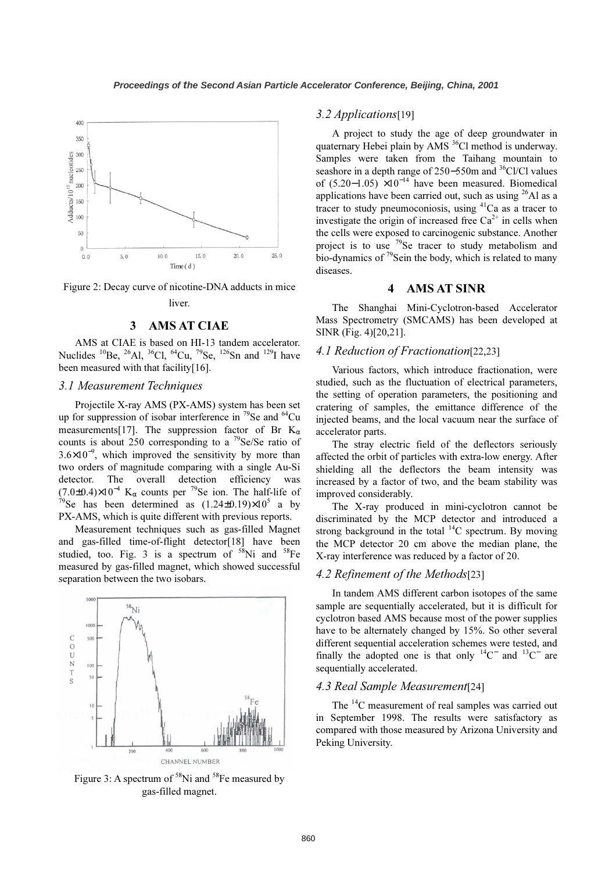



liver.

#### 3 AMS AT CIAE

AMS at CIAE is based on HI-13 tandem accelerator. Nuclides <sup>10</sup>Be, <sup>26</sup>Al, <sup>36</sup>Cl, <sup>64</sup>Cu, <sup>79</sup>Se, <sup>126</sup>Sn and <sup>129</sup>I have been measured with that facility[16].

#### 3.1 Measurement Techniques

Projectile X-ray AMS (PX-AMS) system has been set up for suppression of isobar interference in  $^{79}$ Se and  $^{64}$ Cu measurements[17]. The suppression factor of Br  $K_{\alpha}$ counts is about 250 corresponding to a  $^{79}$ Se/Se ratio of 3.6×10<sup>−</sup><sup>9</sup> , which improved the sensitivity by more than two orders of magnitude comparing with a single Au-Si detector. The overall detection efficiency was (7.0±0.4)×10<sup>-4</sup> K<sub>α</sub> counts per <sup>79</sup>Se ion. The half-life of <sup>79</sup>Se has been determined as  $(1.24\pm0.19)\times10^5$  a by <sup>79</sup>Se has been determined as  $(1.24\pm0.19)\times10^5$  a by PX-AMS, which is quite different with previous reports.

Measurement techniques such as gas-filled Magnet and gas-filled time-of-flight detector[18] have been studied, too. Fig. 3 is a spectrum of  $58\text{Ni}$  and  $58\text{Fe}$ measured by gas-filled magnet, which showed successful separation between the two isobars.



Figure 3: A spectrum of  $58$ Ni and  $58$ Fe measured by gas-filled magnet.

#### 3.2 Applications[19]

A project to study the age of deep groundwater in quaternary Hebei plain by AMS<sup>36</sup>Cl method is underway. Samples were taken from the Taihang mountain to seashore in a depth range of 250–550m and <sup>36</sup>Cl/Cl values of (5.20–1.05)  $\times 10^{-14}$  have been measured. Biomedical applications have been carried out, such as using  $^{26}$ Al as a tracer to study pneumoconiosis, using  ${}^{41}$ Ca as a tracer to investigate the origin of increased free  $Ca^{2+}$  in cells when the cells were exposed to carcinogenic substance. Another project is to use  $79$ Se tracer to study metabolism and bio-dynamics of  $^{79}$ Sein the body, which is related to many diseases.

### 4 AMS AT SINR

The Shanghai Mini-Cyclotron-based Accelerator Mass Spectrometry (SMCAMS) has been developed at SINR (Fig. 4)[20,21].

# 4.1 Reduction of Fractionation[22,23]

Various factors, which introduce fractionation, were studied, such as the fluctuation of electrical parameters, the setting of operation parameters, the positioning and cratering of samples, the emittance difference of the injected beams, and the local vacuum near the surface of accelerator parts.

The stray electric field of the deflectors seriously affected the orbit of particles with extra-low energy. After shielding all the deflectors the beam intensity was increased by a factor of two, and the beam stability was improved considerably.

The X-ray produced in mini-cyclotron cannot be discriminated by the MCP detector and introduced a strong background in the total  $^{14}$ C spectrum. By moving the MCP detector 20 cm above the median plane, the X-ray interference was reduced by a factor of 20.

#### 4.2 Refinement of the Methods[23]

In tandem AMS different carbon isotopes of the same sample are sequentially accelerated, but it is difficult for cyclotron based AMS because most of the power supplies have to be alternately changed by 15%. So other several different sequential acceleration schemes were tested, and finally the adopted one is that only  $14C^-$  and  $13C^-$  are sequentially accelerated.

# 4.3 Real Sample Measurement[24]

The <sup>14</sup>C measurement of real samples was carried out in September 1998. The results were satisfactory as compared with those measured by Arizona University and Peking University.